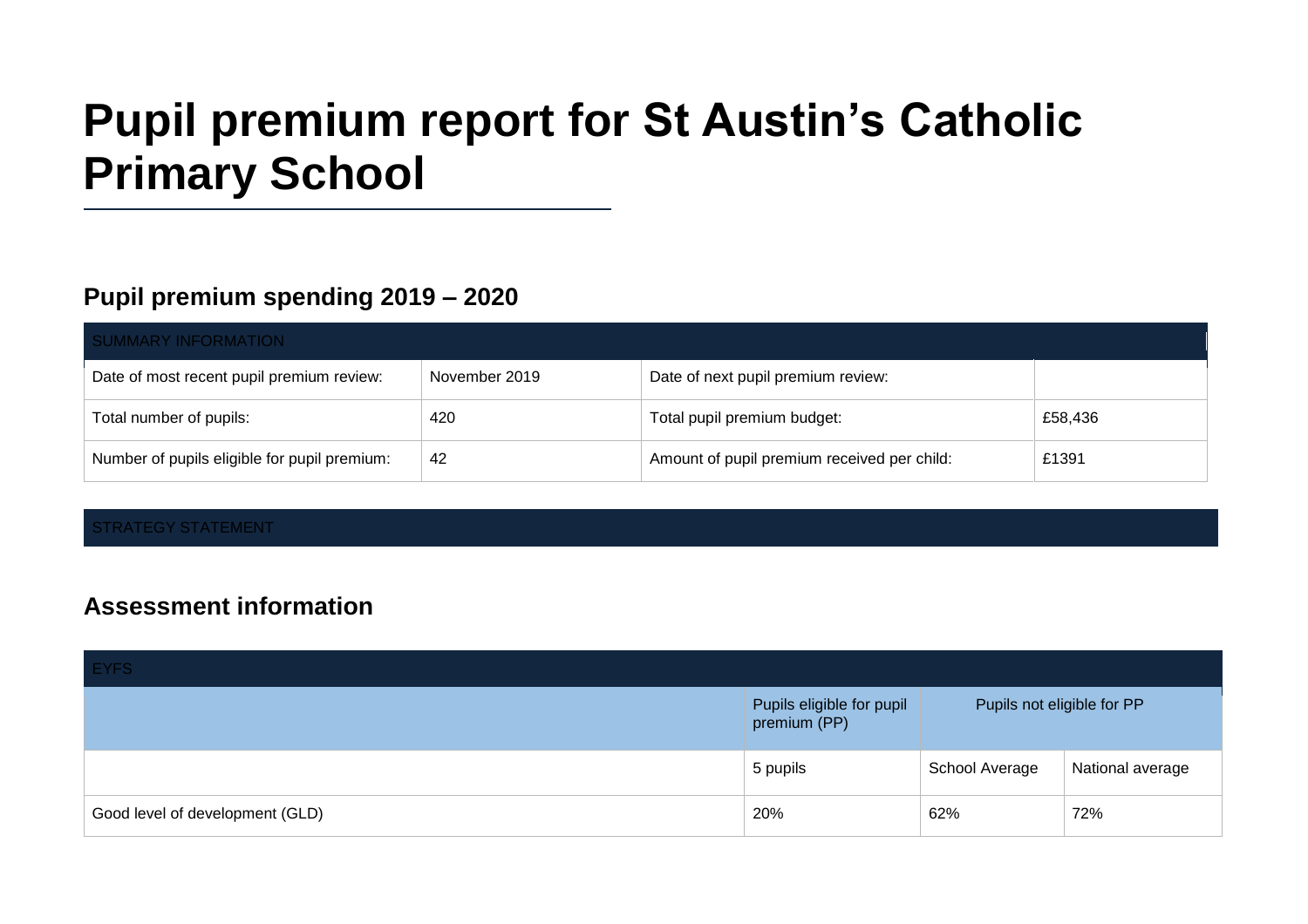# **Pupil premium report for St Austin's Catholic Primary School**

## **Pupil premium spending 2019 – 2020**

| <b>SUMMARY INFORMATION</b>                   |               |                                             |         |  |
|----------------------------------------------|---------------|---------------------------------------------|---------|--|
| Date of most recent pupil premium review:    | November 2019 | Date of next pupil premium review:          |         |  |
| Total number of pupils:                      | 420           | Total pupil premium budget:                 | £58,436 |  |
| Number of pupils eligible for pupil premium: | 42            | Amount of pupil premium received per child: | £1391   |  |

#### STRATEGY STATEMENT

### **Assessment information**

| <b>EYFS</b>                     |                                           |                            |                  |
|---------------------------------|-------------------------------------------|----------------------------|------------------|
|                                 | Pupils eligible for pupil<br>premium (PP) | Pupils not eligible for PP |                  |
|                                 | 5 pupils                                  | School Average             | National average |
| Good level of development (GLD) | 20%                                       | 62%                        | 72%              |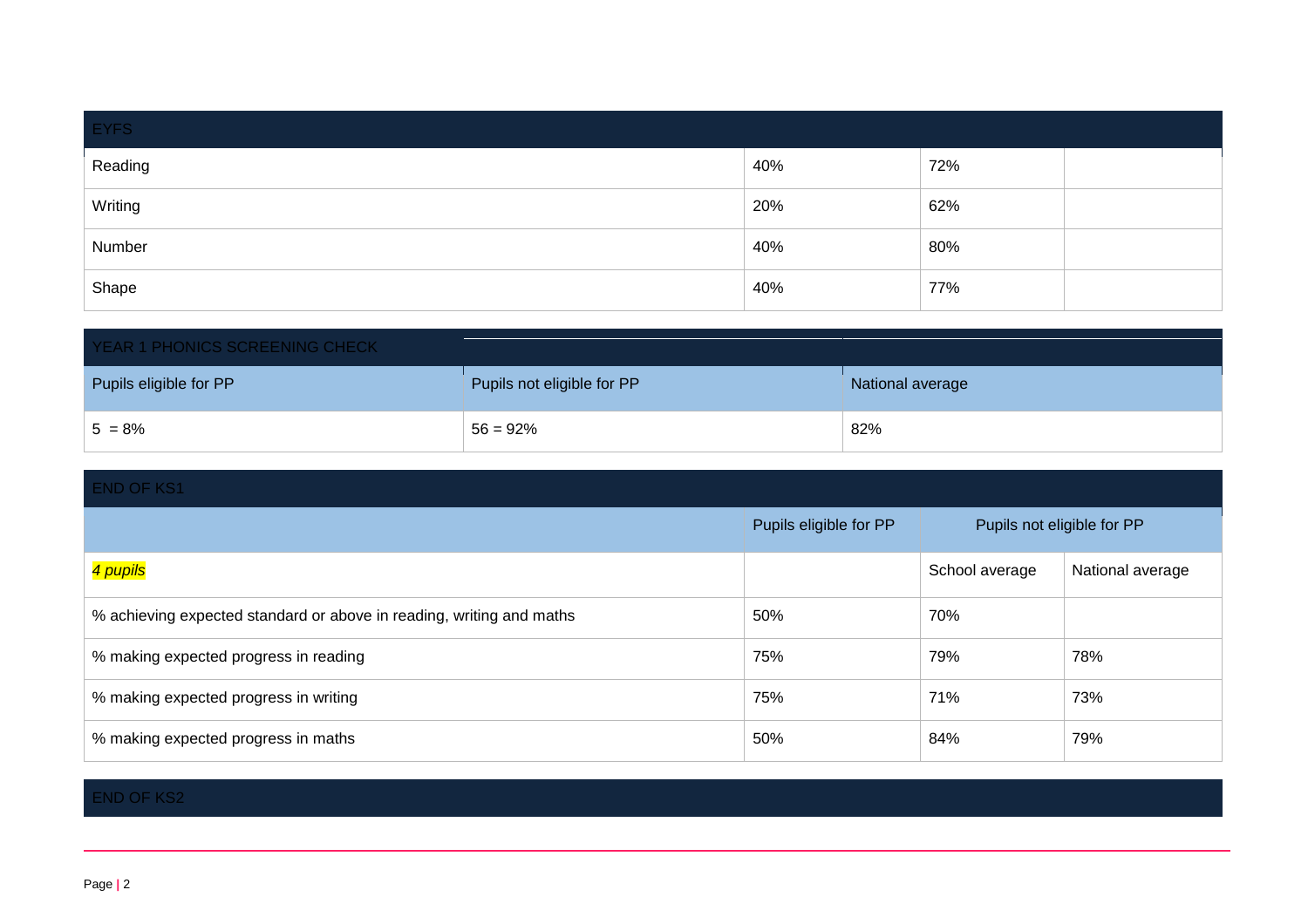| EYFS    |     |     |  |
|---------|-----|-----|--|
| Reading | 40% | 72% |  |
| Writing | 20% | 62% |  |
| Number  | 40% | 80% |  |
| Shape   | 40% | 77% |  |

| YEAR 1 PHONICS SCREENING CHECK |                            |                  |  |
|--------------------------------|----------------------------|------------------|--|
| Pupils eligible for PP         | Pupils not eligible for PP | National average |  |
| $5 = 8%$                       | $56 = 92\%$                | 82%              |  |

| <b>END OF KS1</b>                                                    |                        |                            |                  |
|----------------------------------------------------------------------|------------------------|----------------------------|------------------|
|                                                                      | Pupils eligible for PP | Pupils not eligible for PP |                  |
| 4 pupils                                                             |                        | School average             | National average |
| % achieving expected standard or above in reading, writing and maths | 50%                    | 70%                        |                  |
| % making expected progress in reading                                | 75%                    | 79%                        | 78%              |
| % making expected progress in writing                                | 75%                    | 71%                        | 73%              |
| % making expected progress in maths                                  | 50%                    | 84%                        | 79%              |

#### END OF KS2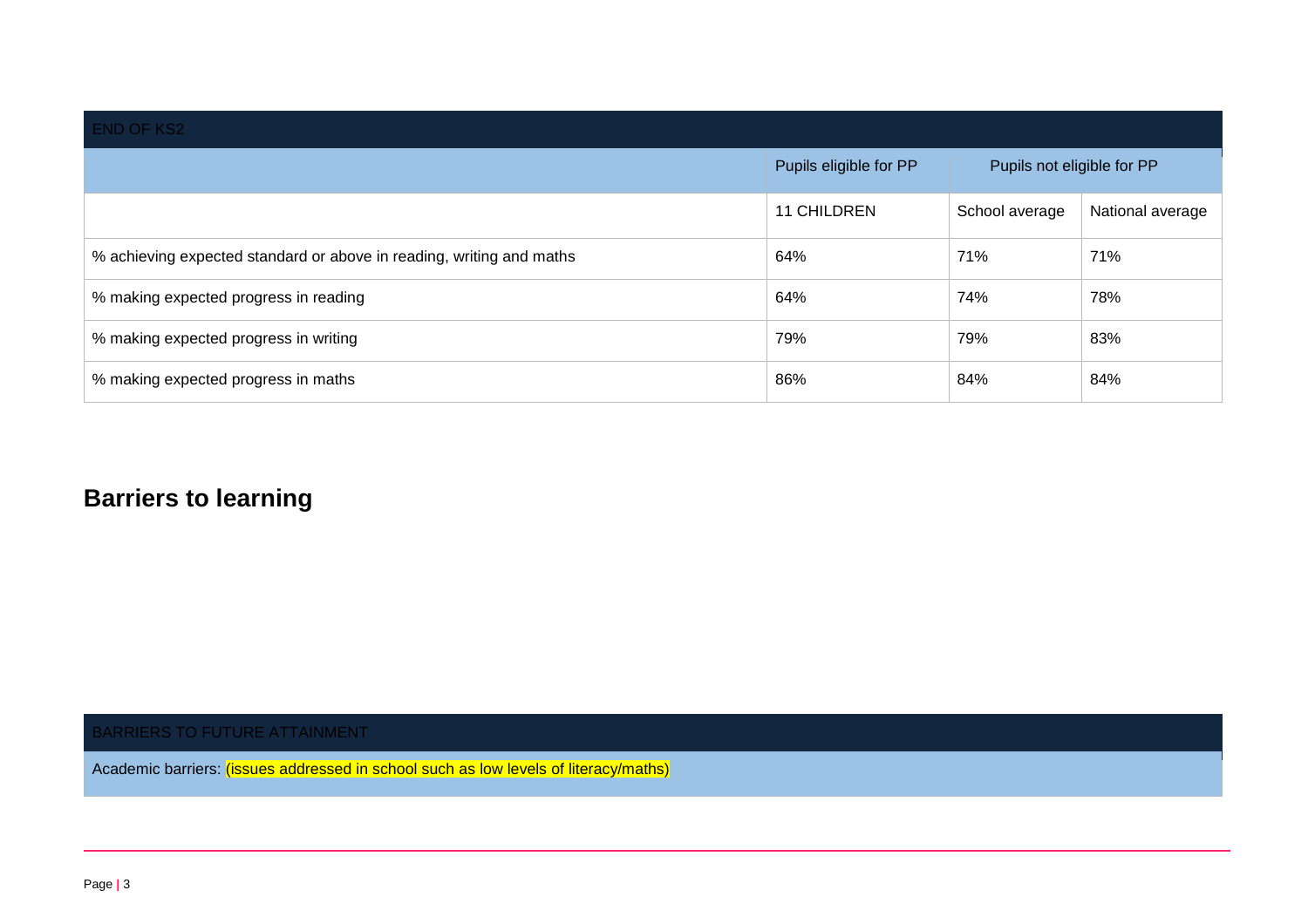| <b>END OF KS2</b>                                                    |                        |                            |                  |
|----------------------------------------------------------------------|------------------------|----------------------------|------------------|
|                                                                      | Pupils eligible for PP | Pupils not eligible for PP |                  |
|                                                                      | <b>11 CHILDREN</b>     | School average             | National average |
| % achieving expected standard or above in reading, writing and maths | 64%                    | 71%                        | 71%              |
| % making expected progress in reading                                | 64%                    | 74%                        | 78%              |
| % making expected progress in writing                                | 79%                    | 79%                        | 83%              |
| % making expected progress in maths                                  | 86%                    | 84%                        | 84%              |

## **Barriers to learning**

BARRIERS TO FUTURE ATTAINMENT

Academic barriers: *(issues addressed in school such as low levels of literacy/maths)*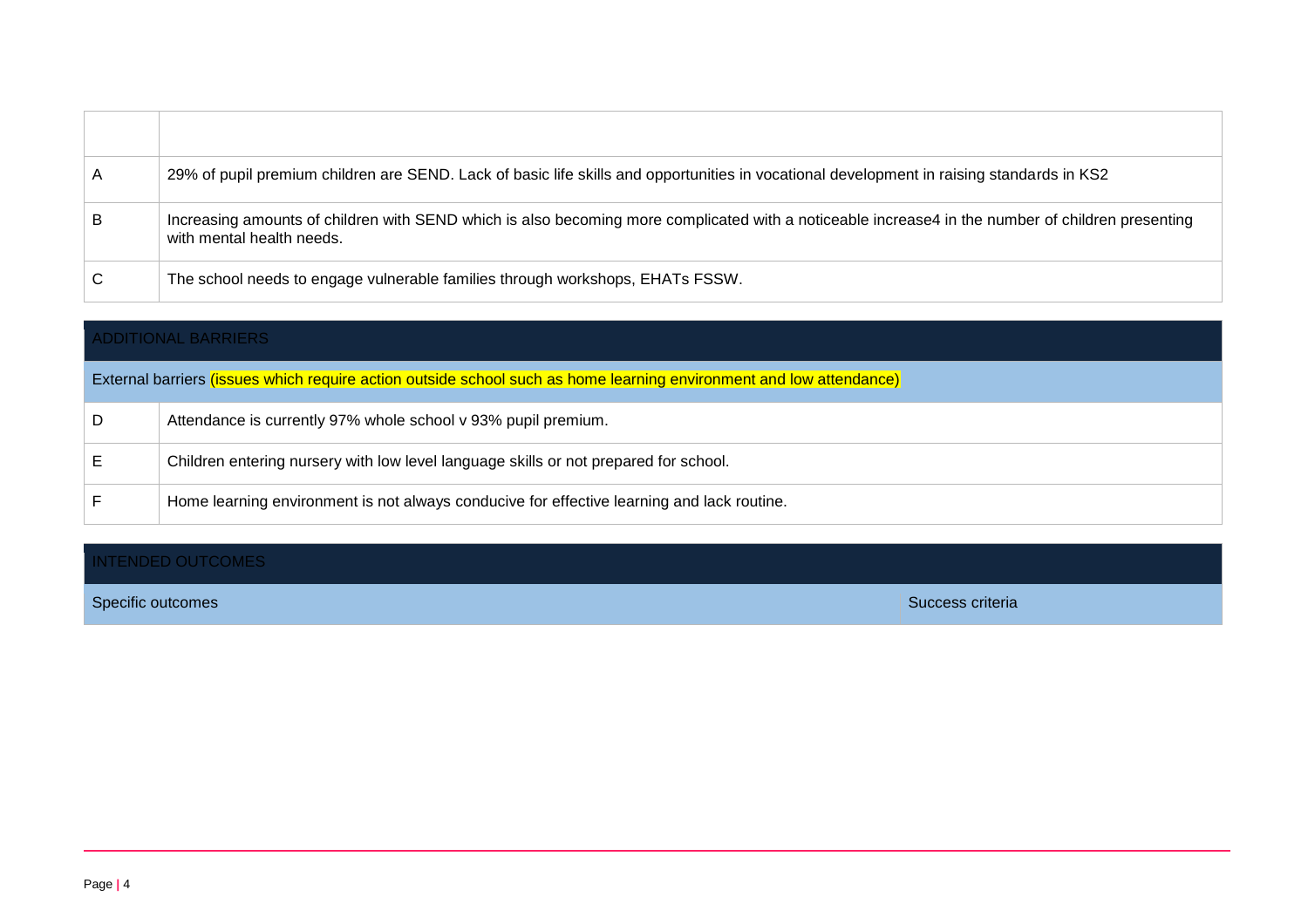| A | 29% of pupil premium children are SEND. Lack of basic life skills and opportunities in vocational development in raising standards in KS2                                      |
|---|--------------------------------------------------------------------------------------------------------------------------------------------------------------------------------|
| B | Increasing amounts of children with SEND which is also becoming more complicated with a noticeable increase4 in the number of children presenting<br>with mental health needs. |
|   | The school needs to engage vulnerable families through workshops, EHATs FSSW.                                                                                                  |

|   | <b>ADDITIONAL BARRIERS</b>                                                                                          |  |  |
|---|---------------------------------------------------------------------------------------------------------------------|--|--|
|   | External barriers (issues which require action outside school such as home learning environment and low attendance) |  |  |
| D | Attendance is currently 97% whole school v 93% pupil premium.                                                       |  |  |
|   | Children entering nursery with low level language skills or not prepared for school.                                |  |  |
|   | Home learning environment is not always conducive for effective learning and lack routine.                          |  |  |

#### INTENDED OUTCOMES

Specific outcomes Specific outcomes Success criteria Success criteria Success criteria Success criteria Success criteria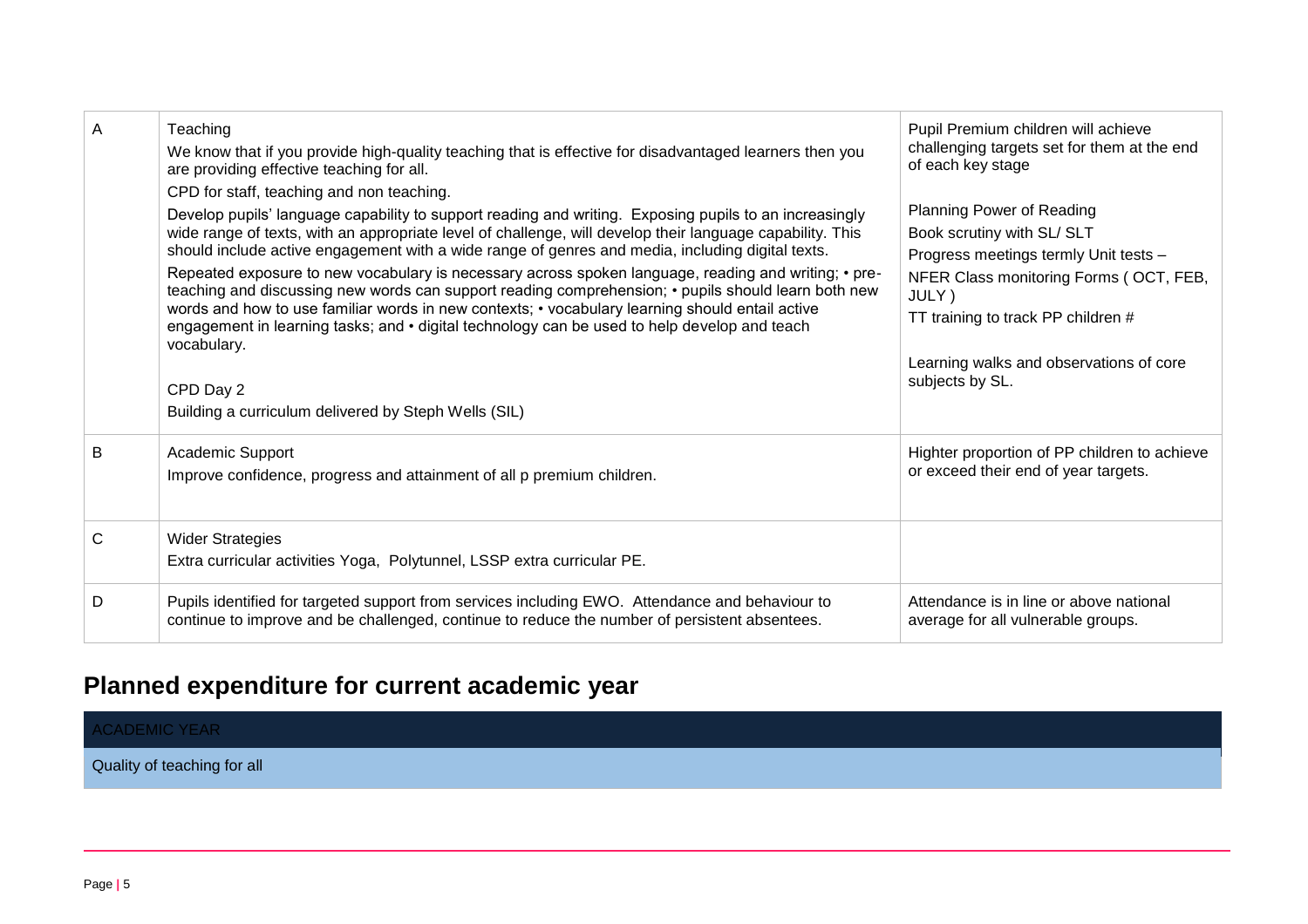| A | Teaching<br>We know that if you provide high-quality teaching that is effective for disadvantaged learners then you<br>are providing effective teaching for all.<br>CPD for staff, teaching and non teaching.<br>Develop pupils' language capability to support reading and writing. Exposing pupils to an increasingly<br>wide range of texts, with an appropriate level of challenge, will develop their language capability. This<br>should include active engagement with a wide range of genres and media, including digital texts.<br>Repeated exposure to new vocabulary is necessary across spoken language, reading and writing; • pre-<br>teaching and discussing new words can support reading comprehension; • pupils should learn both new<br>words and how to use familiar words in new contexts; • vocabulary learning should entail active<br>engagement in learning tasks; and • digital technology can be used to help develop and teach<br>vocabulary.<br>CPD Day 2<br>Building a curriculum delivered by Steph Wells (SIL) | Pupil Premium children will achieve<br>challenging targets set for them at the end<br>of each key stage<br><b>Planning Power of Reading</b><br>Book scrutiny with SL/ SLT<br>Progress meetings termly Unit tests -<br>NFER Class monitoring Forms (OCT, FEB,<br>JULY)<br>TT training to track PP children #<br>Learning walks and observations of core<br>subjects by SL. |
|---|------------------------------------------------------------------------------------------------------------------------------------------------------------------------------------------------------------------------------------------------------------------------------------------------------------------------------------------------------------------------------------------------------------------------------------------------------------------------------------------------------------------------------------------------------------------------------------------------------------------------------------------------------------------------------------------------------------------------------------------------------------------------------------------------------------------------------------------------------------------------------------------------------------------------------------------------------------------------------------------------------------------------------------------------|---------------------------------------------------------------------------------------------------------------------------------------------------------------------------------------------------------------------------------------------------------------------------------------------------------------------------------------------------------------------------|
| B | Academic Support<br>Improve confidence, progress and attainment of all p premium children.                                                                                                                                                                                                                                                                                                                                                                                                                                                                                                                                                                                                                                                                                                                                                                                                                                                                                                                                                     | Highter proportion of PP children to achieve<br>or exceed their end of year targets.                                                                                                                                                                                                                                                                                      |
| C | <b>Wider Strategies</b><br>Extra curricular activities Yoga, Polytunnel, LSSP extra curricular PE.                                                                                                                                                                                                                                                                                                                                                                                                                                                                                                                                                                                                                                                                                                                                                                                                                                                                                                                                             |                                                                                                                                                                                                                                                                                                                                                                           |
| D | Pupils identified for targeted support from services including EWO. Attendance and behaviour to<br>continue to improve and be challenged, continue to reduce the number of persistent absentees.                                                                                                                                                                                                                                                                                                                                                                                                                                                                                                                                                                                                                                                                                                                                                                                                                                               | Attendance is in line or above national<br>average for all vulnerable groups.                                                                                                                                                                                                                                                                                             |

# **Planned expenditure for current academic year**

| <b>ACADEMIC YEAR</b>        |  |  |
|-----------------------------|--|--|
| Quality of teaching for all |  |  |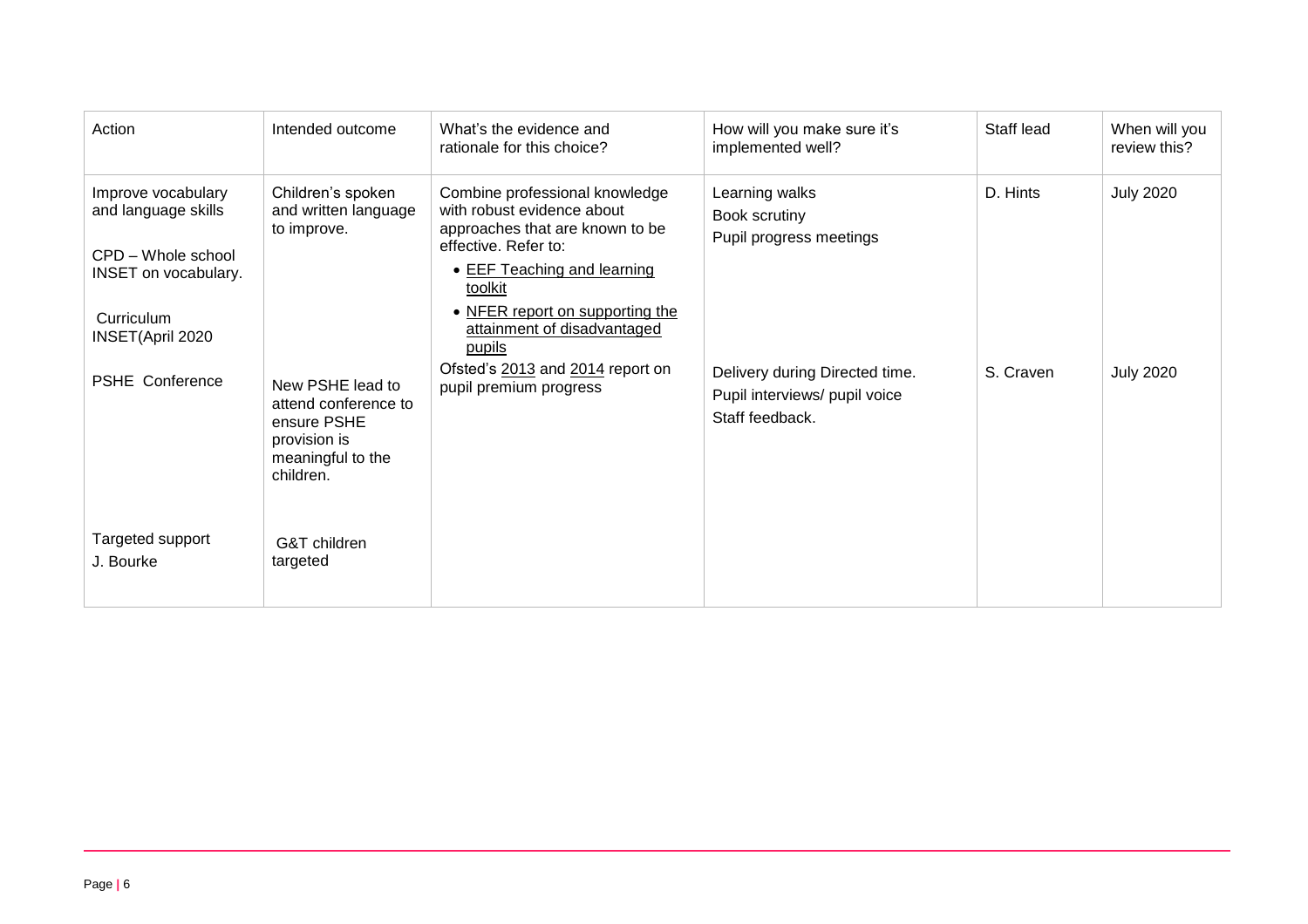| Action                                                                                                                    | Intended outcome                                                                                          | What's the evidence and<br>rationale for this choice?                                                                                                                                                                               | How will you make sure it's<br>implemented well?                                   | Staff lead | When will you<br>review this? |
|---------------------------------------------------------------------------------------------------------------------------|-----------------------------------------------------------------------------------------------------------|-------------------------------------------------------------------------------------------------------------------------------------------------------------------------------------------------------------------------------------|------------------------------------------------------------------------------------|------------|-------------------------------|
| Improve vocabulary<br>and language skills<br>CPD - Whole school<br>INSET on vocabulary.<br>Curriculum<br>INSET(April 2020 | Children's spoken<br>and written language<br>to improve.                                                  | Combine professional knowledge<br>with robust evidence about<br>approaches that are known to be<br>effective. Refer to:<br>• EEF Teaching and learning<br>toolkit<br>• NFER report on supporting the<br>attainment of disadvantaged | Learning walks<br>Book scrutiny<br>Pupil progress meetings                         | D. Hints   | <b>July 2020</b>              |
| <b>PSHE Conference</b>                                                                                                    | New PSHE lead to<br>attend conference to<br>ensure PSHE<br>provision is<br>meaningful to the<br>children. | pupils<br>Ofsted's 2013 and 2014 report on<br>pupil premium progress                                                                                                                                                                | Delivery during Directed time.<br>Pupil interviews/ pupil voice<br>Staff feedback. | S. Craven  | <b>July 2020</b>              |
| Targeted support<br>J. Bourke                                                                                             | G&T children<br>targeted                                                                                  |                                                                                                                                                                                                                                     |                                                                                    |            |                               |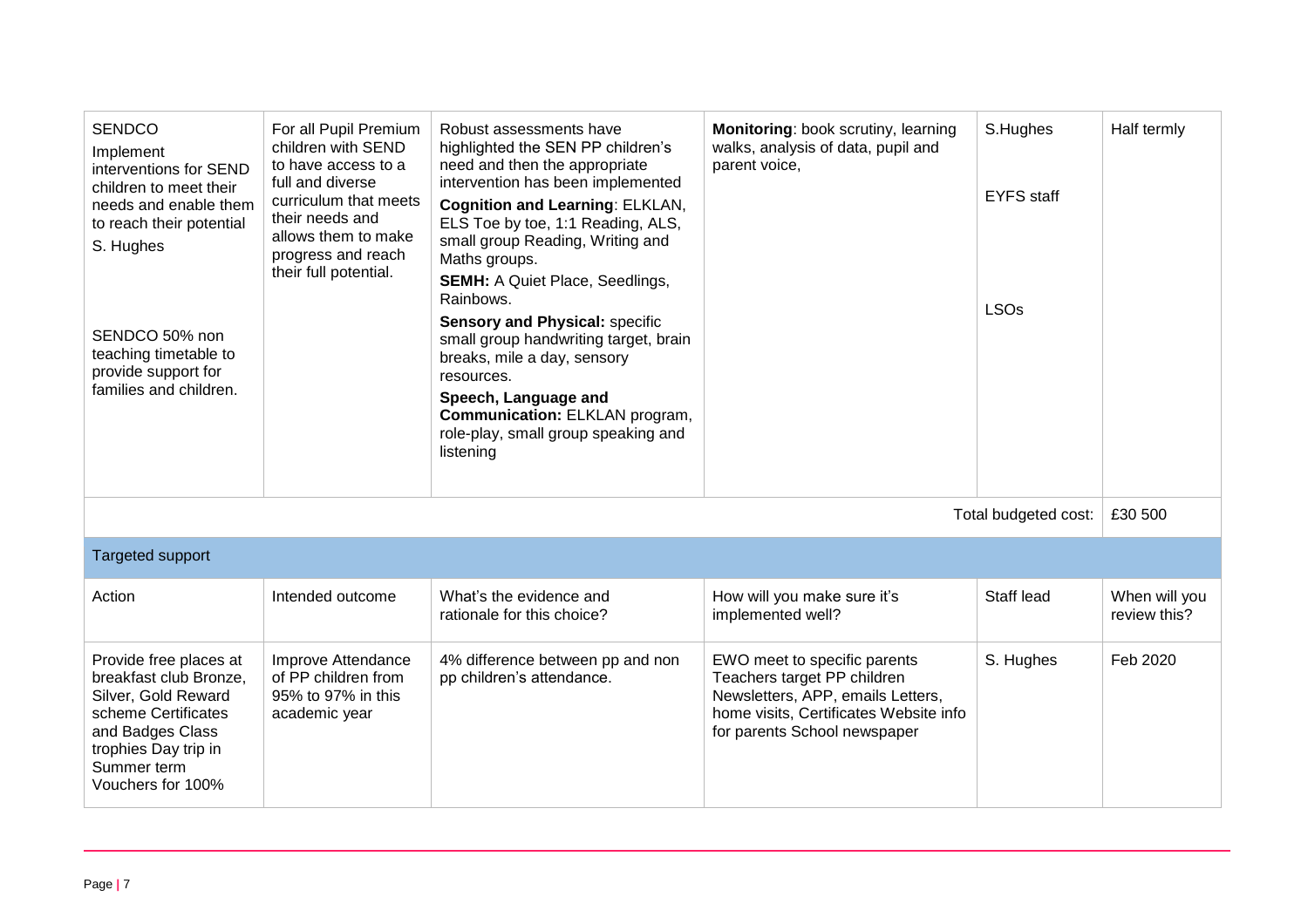| <b>SENDCO</b><br>Implement<br>interventions for SEND<br>children to meet their<br>needs and enable them<br>to reach their potential<br>S. Hughes<br>SENDCO 50% non<br>teaching timetable to<br>provide support for<br>families and children. | For all Pupil Premium<br>children with SEND<br>to have access to a<br>full and diverse<br>curriculum that meets<br>their needs and<br>allows them to make<br>progress and reach<br>their full potential. | Robust assessments have<br>highlighted the SEN PP children's<br>need and then the appropriate<br>intervention has been implemented<br><b>Cognition and Learning: ELKLAN,</b><br>ELS Toe by toe, 1:1 Reading, ALS,<br>small group Reading, Writing and<br>Maths groups.<br><b>SEMH: A Quiet Place, Seedlings,</b><br>Rainbows.<br><b>Sensory and Physical: specific</b><br>small group handwriting target, brain<br>breaks, mile a day, sensory<br>resources.<br>Speech, Language and<br><b>Communication: ELKLAN program,</b><br>role-play, small group speaking and<br>listening | Monitoring: book scrutiny, learning<br>walks, analysis of data, pupil and<br>parent voice,                                                                                 | S.Hughes<br><b>EYFS</b> staff<br><b>LSOs</b> | Half termly                   |
|----------------------------------------------------------------------------------------------------------------------------------------------------------------------------------------------------------------------------------------------|----------------------------------------------------------------------------------------------------------------------------------------------------------------------------------------------------------|-----------------------------------------------------------------------------------------------------------------------------------------------------------------------------------------------------------------------------------------------------------------------------------------------------------------------------------------------------------------------------------------------------------------------------------------------------------------------------------------------------------------------------------------------------------------------------------|----------------------------------------------------------------------------------------------------------------------------------------------------------------------------|----------------------------------------------|-------------------------------|
| Total budgeted cost:<br>£30 500                                                                                                                                                                                                              |                                                                                                                                                                                                          |                                                                                                                                                                                                                                                                                                                                                                                                                                                                                                                                                                                   |                                                                                                                                                                            |                                              |                               |
| Targeted support                                                                                                                                                                                                                             |                                                                                                                                                                                                          |                                                                                                                                                                                                                                                                                                                                                                                                                                                                                                                                                                                   |                                                                                                                                                                            |                                              |                               |
| Action                                                                                                                                                                                                                                       | Intended outcome                                                                                                                                                                                         | What's the evidence and<br>rationale for this choice?                                                                                                                                                                                                                                                                                                                                                                                                                                                                                                                             | How will you make sure it's<br>implemented well?                                                                                                                           | Staff lead                                   | When will you<br>review this? |
| Provide free places at<br>breakfast club Bronze,<br>Silver, Gold Reward<br>scheme Certificates<br>and Badges Class<br>trophies Day trip in<br>Summer term<br>Vouchers for 100%                                                               | Improve Attendance<br>of PP children from<br>95% to 97% in this<br>academic year                                                                                                                         | 4% difference between pp and non<br>pp children's attendance.                                                                                                                                                                                                                                                                                                                                                                                                                                                                                                                     | EWO meet to specific parents<br>Teachers target PP children<br>Newsletters, APP, emails Letters,<br>home visits, Certificates Website info<br>for parents School newspaper | S. Hughes                                    | Feb 2020                      |